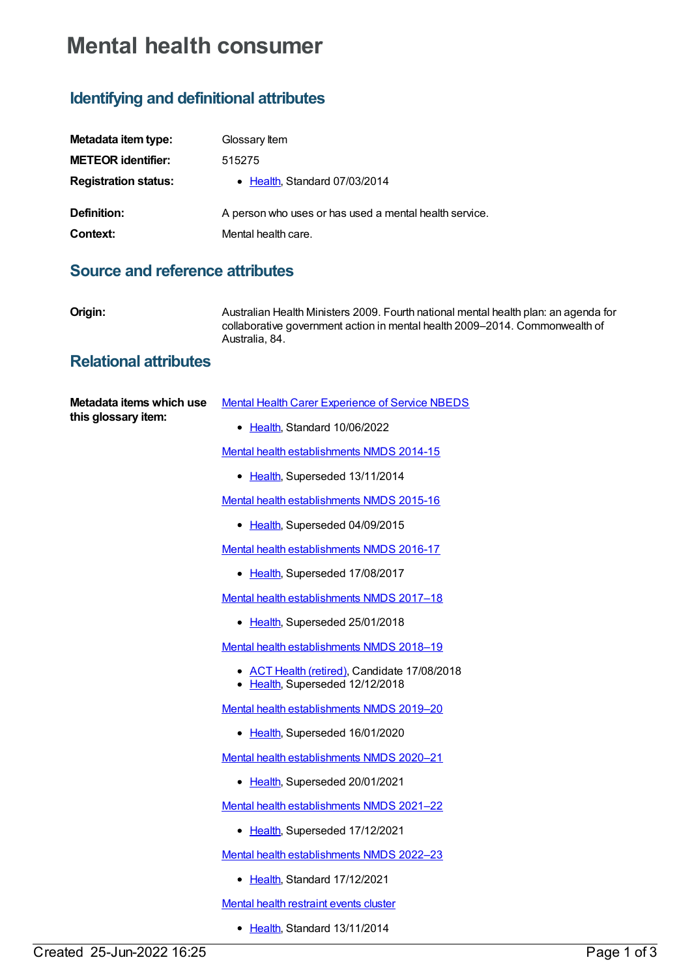## **Mental health consumer**

## **Identifying and definitional attributes**

| Metadata item type:         | Glossary Item                                          |
|-----------------------------|--------------------------------------------------------|
| <b>METEOR identifier:</b>   | 515275                                                 |
| <b>Registration status:</b> | • Health, Standard 07/03/2014                          |
| Definition:                 | A person who uses or has used a mental health service. |
| Context:                    | Mental health care.                                    |

## **Source and reference attributes**

|  | I<br>Н | ٠ |
|--|--------|---|
|  |        |   |

**Origin:** Australian Health Ministers 2009. Fourth national mental health plan: an agenda for collaborative government action in mental health 2009–2014. Commonwealth of Australia, 84.

## **Relational attributes**

| Metadata items which use<br>this glossary item: | <b>Mental Health Carer Experience of Service NBEDS</b>                          |
|-------------------------------------------------|---------------------------------------------------------------------------------|
|                                                 | • Health, Standard 10/06/2022                                                   |
|                                                 | Mental health establishments NMDS 2014-15                                       |
|                                                 | • Health, Superseded 13/11/2014                                                 |
|                                                 | Mental health establishments NMDS 2015-16                                       |
|                                                 | • Health, Superseded 04/09/2015                                                 |
|                                                 | Mental health establishments NMDS 2016-17                                       |
|                                                 | • Health, Superseded 17/08/2017                                                 |
|                                                 | Mental health establishments NMDS 2017-18                                       |
|                                                 | • Health, Superseded 25/01/2018                                                 |
|                                                 | Mental health establishments NMDS 2018-19                                       |
|                                                 | • ACT Health (retired), Candidate 17/08/2018<br>• Health, Superseded 12/12/2018 |
|                                                 | Mental health establishments NMDS 2019-20                                       |
|                                                 | • Health, Superseded 16/01/2020                                                 |
|                                                 | Mental health establishments NMDS 2020-21                                       |
|                                                 | • Health, Superseded 20/01/2021                                                 |
|                                                 | Mental health establishments NMDS 2021-22                                       |
|                                                 | • Health, Superseded 17/12/2021                                                 |
|                                                 | Mental health establishments NMDS 2022-23                                       |
|                                                 | Health, Standard 17/12/2021                                                     |
|                                                 | <b>Mental health restraint events cluster</b>                                   |
|                                                 | • Health, Standard 13/11/2014                                                   |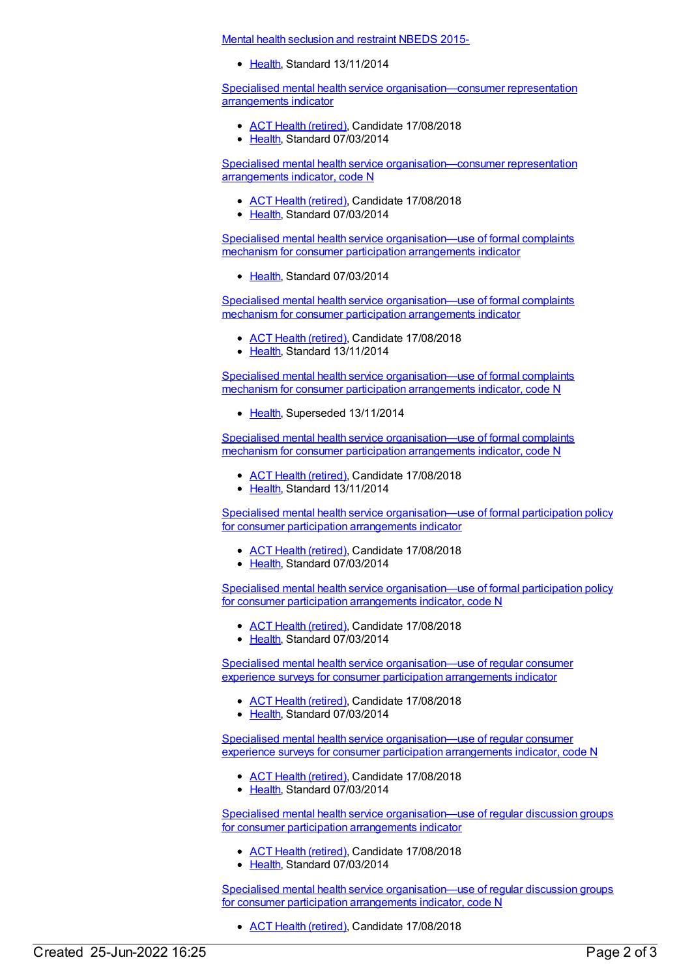Mental health [seclusion](https://meteor.aihw.gov.au/content/558137) and restraint NBEDS 2015-

[Health](https://meteor.aihw.gov.au/RegistrationAuthority/12), Standard 13/11/2014

Specialised mental health service [organisation—consumer](https://meteor.aihw.gov.au/content/529099) representation arrangements indicator

- ACT Health [\(retired\)](https://meteor.aihw.gov.au/RegistrationAuthority/9), Candidate 17/08/2018
- [Health](https://meteor.aihw.gov.au/RegistrationAuthority/12), Standard 07/03/2014

Specialised mental health service [organisation—consumer](https://meteor.aihw.gov.au/content/529103) representation arrangements indicator, code N

- ACT Health [\(retired\)](https://meteor.aihw.gov.au/RegistrationAuthority/9), Candidate 17/08/2018
- [Health](https://meteor.aihw.gov.au/RegistrationAuthority/12), Standard 07/03/2014

Specialised mental health service [organisation—use](https://meteor.aihw.gov.au/content/528995) of formal complaints mechanism for consumer participation arrangements indicator

• [Health](https://meteor.aihw.gov.au/RegistrationAuthority/12), Standard 07/03/2014

Specialised mental health service [organisation—use](https://meteor.aihw.gov.au/content/564670) of formal complaints mechanism for consumer participation arrangements indicator

- ACT Health [\(retired\)](https://meteor.aihw.gov.au/RegistrationAuthority/9), Candidate 17/08/2018
- [Health](https://meteor.aihw.gov.au/RegistrationAuthority/12), Standard 13/11/2014

Specialised mental health service [organisation—use](https://meteor.aihw.gov.au/content/529180) of formal complaints mechanism for consumer participation arrangements indicator, code N

• [Health](https://meteor.aihw.gov.au/RegistrationAuthority/12), Superseded 13/11/2014

Specialised mental health service [organisation—use](https://meteor.aihw.gov.au/content/564674) of formal complaints mechanism for consumer participation arrangements indicator, code N

- ACT Health [\(retired\)](https://meteor.aihw.gov.au/RegistrationAuthority/9), Candidate 17/08/2018
- [Health](https://meteor.aihw.gov.au/RegistrationAuthority/12), Standard 13/11/2014

Specialised mental health service [organisation—use](https://meteor.aihw.gov.au/content/529002) of formal participation policy for consumer participation arrangements indicator

- ACT Health [\(retired\)](https://meteor.aihw.gov.au/RegistrationAuthority/9), Candidate 17/08/2018
- [Health](https://meteor.aihw.gov.au/RegistrationAuthority/12), Standard 07/03/2014

Specialised mental health service [organisation—use](https://meteor.aihw.gov.au/content/529185) of formal participation policy for consumer participation arrangements indicator, code N

- ACT Health [\(retired\)](https://meteor.aihw.gov.au/RegistrationAuthority/9), Candidate 17/08/2018
- [Health](https://meteor.aihw.gov.au/RegistrationAuthority/12), Standard 07/03/2014

Specialised mental health service [organisation—use](https://meteor.aihw.gov.au/content/528993) of regular consumer experience surveys for consumer participation arrangements indicator

- ACT Health [\(retired\)](https://meteor.aihw.gov.au/RegistrationAuthority/9), Candidate 17/08/2018
- [Health](https://meteor.aihw.gov.au/RegistrationAuthority/12), Standard 07/03/2014

Specialised mental health service [organisation—use](https://meteor.aihw.gov.au/content/529170) of regular consumer experience surveys for consumer participation arrangements indicator, code N

- ACT Health [\(retired\)](https://meteor.aihw.gov.au/RegistrationAuthority/9), Candidate 17/08/2018
- [Health](https://meteor.aihw.gov.au/RegistrationAuthority/12), Standard 07/03/2014

Specialised mental health service [organisation—use](https://meteor.aihw.gov.au/content/529014) of regular discussion groups for consumer participation arrangements indicator

- ACT Health [\(retired\)](https://meteor.aihw.gov.au/RegistrationAuthority/9), Candidate 17/08/2018
- [Health](https://meteor.aihw.gov.au/RegistrationAuthority/12), Standard 07/03/2014

Specialised mental health service [organisation—use](https://meteor.aihw.gov.au/content/529224) of regular discussion groups for consumer participation arrangements indicator, code N

• ACT Health [\(retired\)](https://meteor.aihw.gov.au/RegistrationAuthority/9), Candidate 17/08/2018